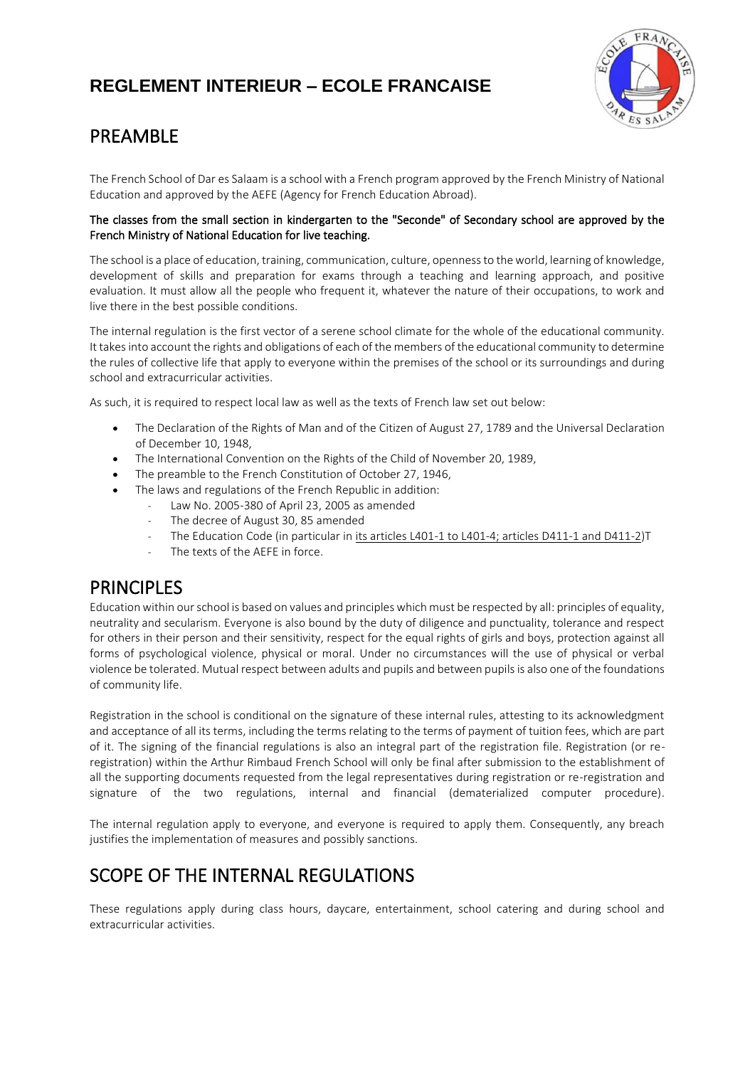

# PREAMBLE

The French School of Dar es Salaam is a school with a French program approved by the French Ministry of National Education and approved by the AEFE (Agency for French Education Abroad).

# The classes from the small section in kindergarten to the "Seconde" of Secondary school are approved by the French Ministry of National Education for live teaching.

The school is a place of education, training, communication, culture, openness to the world, learning of knowledge, development of skills and preparation for exams through a teaching and learning approach, and positive evaluation. It must allow all the people who frequent it, whatever the nature of their occupations, to work and live there in the best possible conditions.

The internal regulation is the first vector of a serene school climate for the whole of the educational community. It takes into account the rights and obligations of each of the members of the educational community to determine the rules of collective life that apply to everyone within the premises of the school or its surroundings and during school and extracurricular activities.

As such, it is required to respect local law as well as the texts of French law set out below:

- The Declaration of the Rights of Man and of the Citizen of August 27, 1789 and the Universal Declaration of December 10, 1948,
- The International Convention on the Rights of the Child of November 20, 1989,
- The preamble to the French Constitution of October 27, 1946,
- The laws and regulations of the French Republic in addition:
	- Law No. 2005-380 of April 23, 2005 as amended
		- The decree of August 30, 85 amended
	- The Education Code (in particular in its articles L401-1 to L401-4; articles D411-1 and D411-2)T
	- The texts of the AEFE in force.

# PRINCIPLES

Education within our school is based on values and principles which must be respected by all: principles of equality, neutrality and secularism. Everyone is also bound by the duty of diligence and punctuality, tolerance and respect for others in their person and their sensitivity, respect for the equal rights of girls and boys, protection against all forms of psychological violence, physical or moral. Under no circumstances will the use of physical or verbal violence be tolerated. Mutual respect between adults and pupils and between pupils is also one of the foundations of community life.

Registration in the school is conditional on the signature of these internal rules, attesting to its acknowledgment and acceptance of all its terms, including the terms relating to the terms of payment of tuition fees, which are part of it. The signing of the financial regulations is also an integral part of the registration file. Registration (or reregistration) within the Arthur Rimbaud French School will only be final after submission to the establishment of all the supporting documents requested from the legal representatives during registration or re-registration and signature of the two regulations, internal and financial (dematerialized computer procedure).

The internal regulation apply to everyone, and everyone is required to apply them. Consequently, any breach justifies the implementation of measures and possibly sanctions.

# SCOPE OF THE INTERNAL REGULATIONS

These regulations apply during class hours, daycare, entertainment, school catering and during school and extracurricular activities.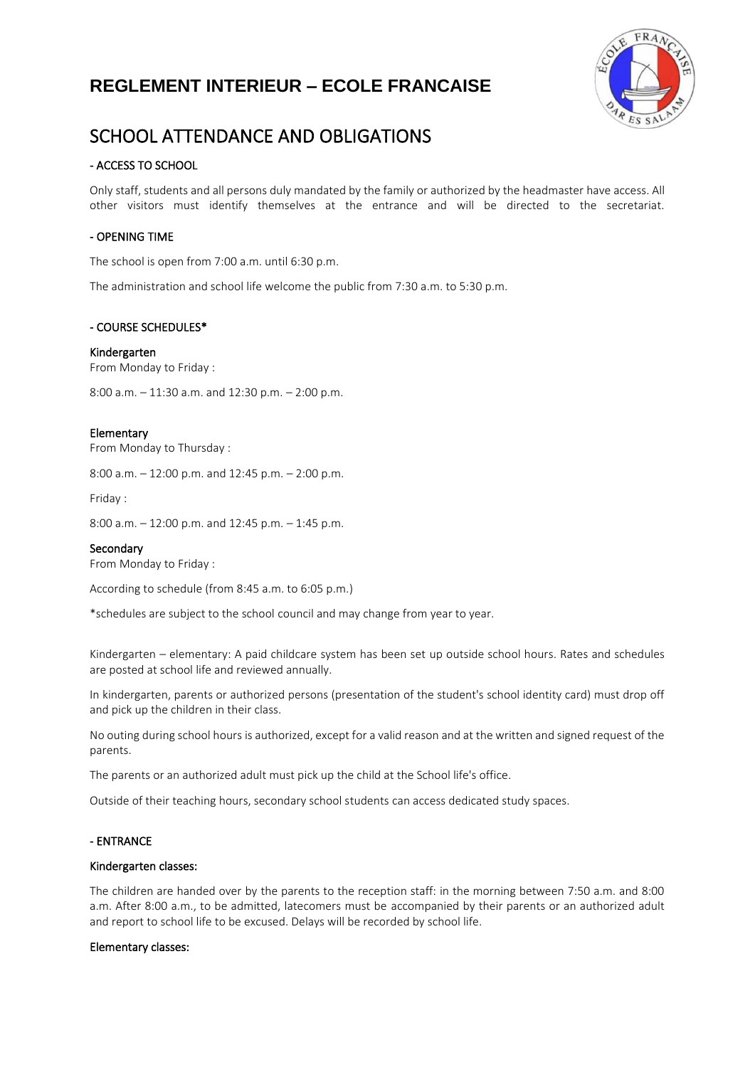

# SCHOOL ATTENDANCE AND OBLIGATIONS

# - ACCESS TO SCHOOL

Only staff, students and all persons duly mandated by the family or authorized by the headmaster have access. All other visitors must identify themselves at the entrance and will be directed to the secretariat.

# - OPENING TIME

The school is open from 7:00 a.m. until 6:30 p.m.

The administration and school life welcome the public from 7:30 a.m. to 5:30 p.m.

### - COURSE SCHEDULES\*

### Kindergarten

From Monday to Friday :

8:00 a.m. – 11:30 a.m. and 12:30 p.m. – 2:00 p.m.

### Elementary

From Monday to Thursday :

8:00 a.m. – 12:00 p.m. and 12:45 p.m. – 2:00 p.m.

Friday :

8:00 a.m. – 12:00 p.m. and 12:45 p.m. – 1:45 p.m.

#### **Secondary**

From Monday to Friday :

According to schedule (from 8:45 a.m. to 6:05 p.m.)

\*schedules are subject to the school council and may change from year to year.

Kindergarten – elementary: A paid childcare system has been set up outside school hours. Rates and schedules are posted at school life and reviewed annually.

In kindergarten, parents or authorized persons (presentation of the student's school identity card) must drop off and pick up the children in their class.

No outing during school hours is authorized, except for a valid reason and at the written and signed request of the parents.

The parents or an authorized adult must pick up the child at the School life's office.

Outside of their teaching hours, secondary school students can access dedicated study spaces.

# - ENTRANCE

#### Kindergarten classes:

The children are handed over by the parents to the reception staff: in the morning between 7:50 a.m. and 8:00 a.m. After 8:00 a.m., to be admitted, latecomers must be accompanied by their parents or an authorized adult and report to school life to be excused. Delays will be recorded by school life.

#### Elementary classes: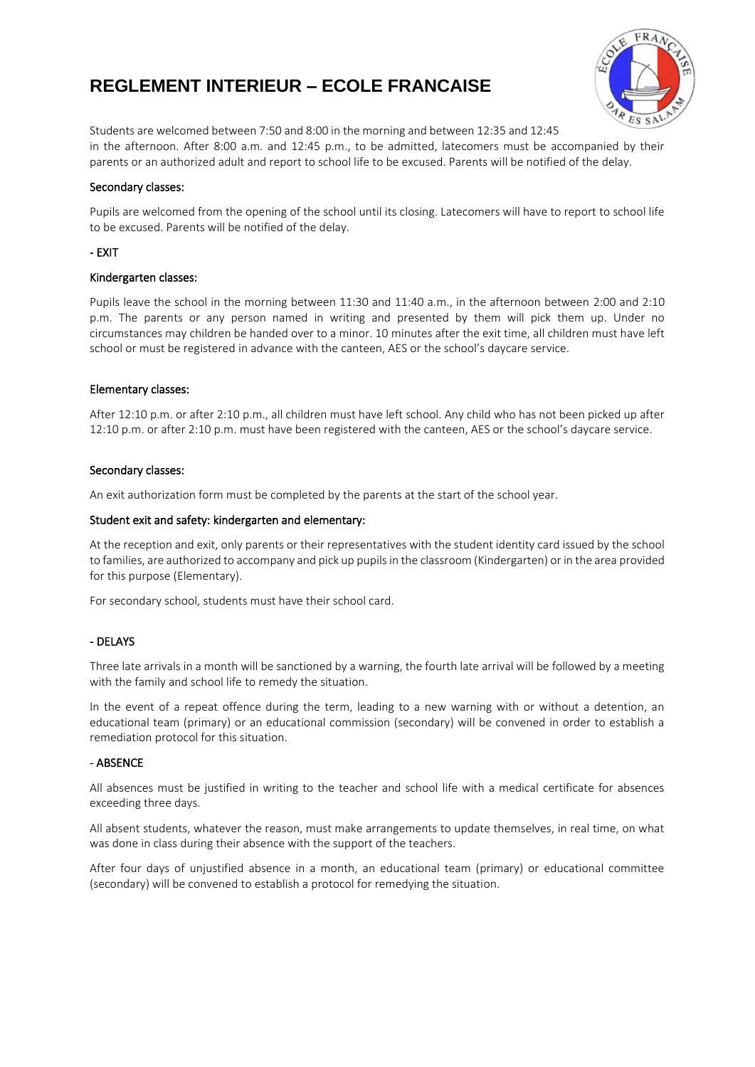

Students are welcomed between 7:50 and 8:00 in the morning and between 12:35 and 12:45 in the afternoon. After 8:00 a.m. and 12:45 p.m., to be admitted, latecomers must be accompanied by their parents or an authorized adult and report to school life to be excused. Parents will be notified of the delay.

### Secondary classes:

Pupils are welcomed from the opening of the school until its closing. Latecomers will have to report to school life to be excused. Parents will be notified of the delay.

## - EXIT

### Kindergarten classes:

Pupils leave the school in the morning between 11:30 and 11:40 a.m., in the afternoon between 2:00 and 2:10 p.m. The parents or any person named in writing and presented by them will pick them up. Under no circumstances may children be handed over to a minor. 10 minutes after the exit time, all children must have left school or must be registered in advance with the canteen, AES or the school's daycare service.

### Elementary classes:

After 12:10 p.m. or after 2:10 p.m., all children must have left school. Any child who has not been picked up after 12:10 p.m. or after 2:10 p.m. must have been registered with the canteen, AES or the school's daycare service.

### Secondary classes:

An exit authorization form must be completed by the parents at the start of the school year.

### Student exit and safety: kindergarten and elementary:

At the reception and exit, only parents or their representatives with the student identity card issued by the school to families, are authorized to accompany and pick up pupilsin the classroom (Kindergarten) or in the area provided for this purpose (Elementary).

For secondary school, students must have their school card.

### - DELAYS

Three late arrivals in a month will be sanctioned by a warning, the fourth late arrival will be followed by a meeting with the family and school life to remedy the situation.

In the event of a repeat offence during the term, leading to a new warning with or without a detention, an educational team (primary) or an educational commission (secondary) will be convened in order to establish a remediation protocol for this situation.

### - ABSENCE

All absences must be justified in writing to the teacher and school life with a medical certificate for absences exceeding three days.

All absent students, whatever the reason, must make arrangements to update themselves, in real time, on what was done in class during their absence with the support of the teachers.

After four days of unjustified absence in a month, an educational team (primary) or educational committee (secondary) will be convened to establish a protocol for remedying the situation.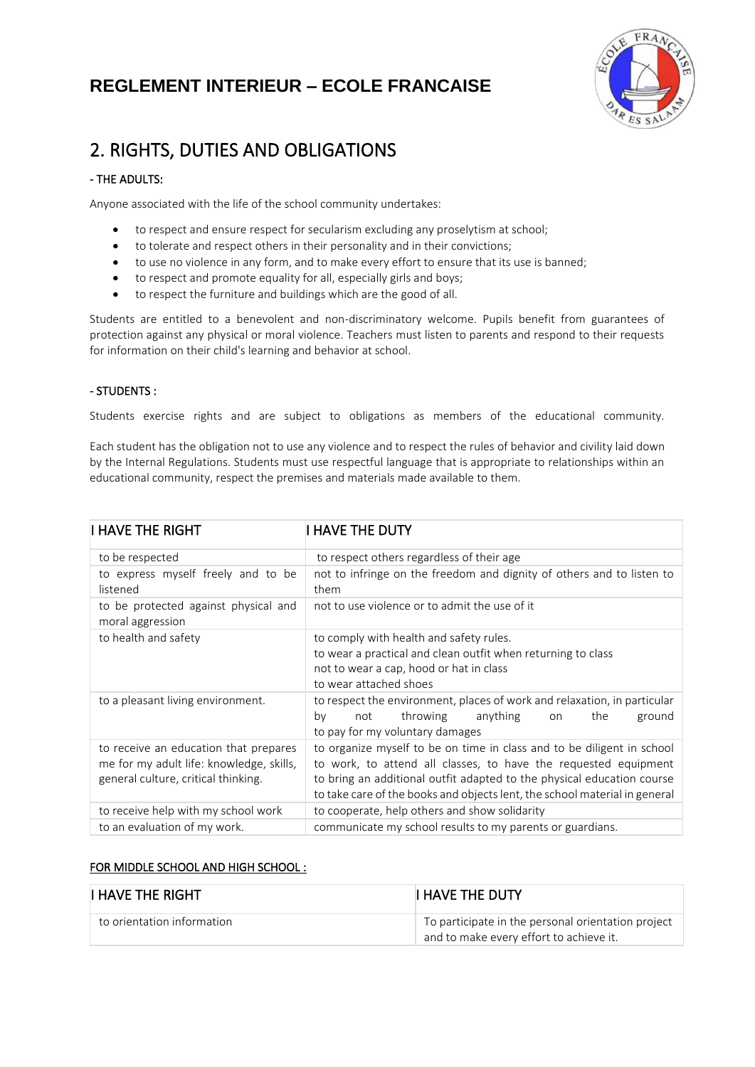

# 2. RIGHTS, DUTIES AND OBLIGATIONS

# $-$  THE ADULTS:

Anyone associated with the life of the school community undertakes:

- to respect and ensure respect for secularism excluding any proselytism at school;
- to tolerate and respect others in their personality and in their convictions;
- to use no violence in any form, and to make every effort to ensure that its use is banned;
- to respect and promote equality for all, especially girls and boys;
- to respect the furniture and buildings which are the good of all.

Students are entitled to a benevolent and non-discriminatory welcome. Pupils benefit from guarantees of protection against any physical or moral violence. Teachers must listen to parents and respond to their requests for information on their child's learning and behavior at school.

# - STUDENTS :

Students exercise rights and are subject to obligations as members of the educational community.

Each student has the obligation not to use any violence and to respect the rules of behavior and civility laid down by the Internal Regulations. Students must use respectful language that is appropriate to relationships within an educational community, respect the premises and materials made available to them.

| I HAVE THE RIGHT                                                                                                         | I HAVE THE DUTY                                                                                                                                                                                                                                                                                   |  |  |  |
|--------------------------------------------------------------------------------------------------------------------------|---------------------------------------------------------------------------------------------------------------------------------------------------------------------------------------------------------------------------------------------------------------------------------------------------|--|--|--|
| to be respected                                                                                                          | to respect others regardless of their age                                                                                                                                                                                                                                                         |  |  |  |
| to express myself freely and to be<br>listened                                                                           | not to infringe on the freedom and dignity of others and to listen to<br>them                                                                                                                                                                                                                     |  |  |  |
| to be protected against physical and<br>moral aggression                                                                 | not to use violence or to admit the use of it                                                                                                                                                                                                                                                     |  |  |  |
| to health and safety                                                                                                     | to comply with health and safety rules.<br>to wear a practical and clean outfit when returning to class<br>not to wear a cap, hood or hat in class<br>to wear attached shoes                                                                                                                      |  |  |  |
| to a pleasant living environment.                                                                                        | to respect the environment, places of work and relaxation, in particular<br>throwing<br>anything<br>the<br>ground<br>by<br>not<br>on<br>to pay for my voluntary damages                                                                                                                           |  |  |  |
| to receive an education that prepares<br>me for my adult life: knowledge, skills,<br>general culture, critical thinking. | to organize myself to be on time in class and to be diligent in school<br>to work, to attend all classes, to have the requested equipment<br>to bring an additional outfit adapted to the physical education course<br>to take care of the books and objects lent, the school material in general |  |  |  |
| to receive help with my school work                                                                                      | to cooperate, help others and show solidarity                                                                                                                                                                                                                                                     |  |  |  |
| to an evaluation of my work.                                                                                             | communicate my school results to my parents or guardians.                                                                                                                                                                                                                                         |  |  |  |

# FOR MIDDLE SCHOOL AND HIGH SCHOOL :

| <b>I HAVE THE RIGHT</b>    | I HAVE THE DUTY                                                                               |
|----------------------------|-----------------------------------------------------------------------------------------------|
| to orientation information | To participate in the personal orientation project<br>and to make every effort to achieve it. |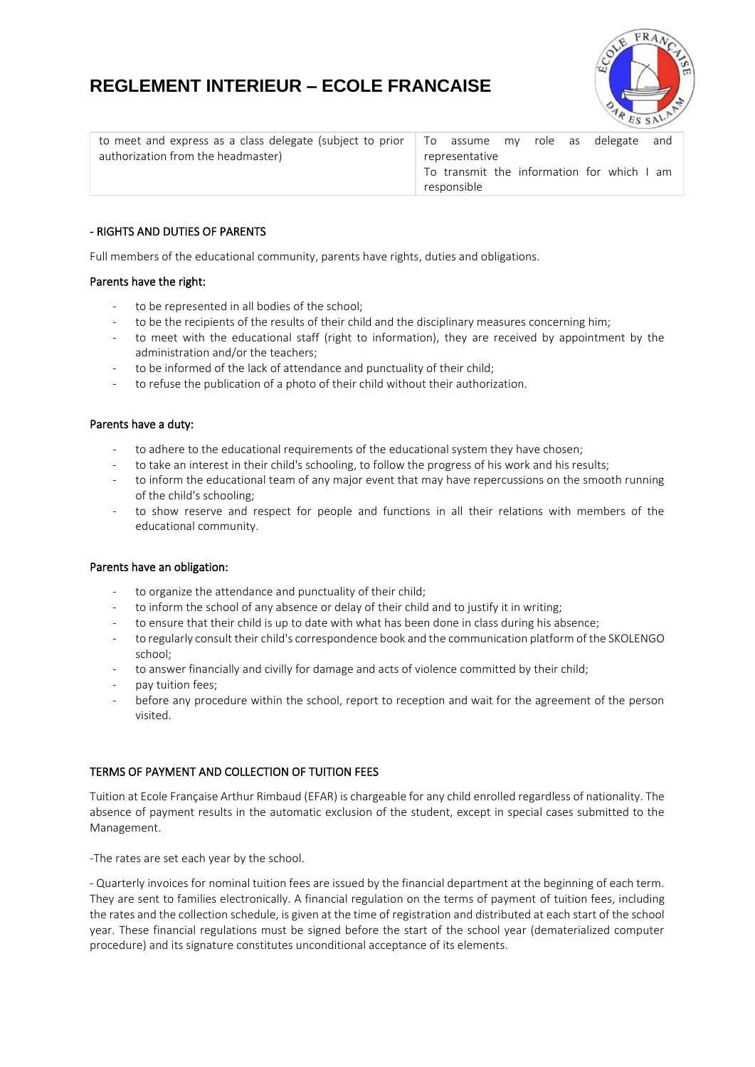

| to meet and express as a class delegate (subject to prior $\Box$ To assume my role as delegate and |                |  |                                            |  |
|----------------------------------------------------------------------------------------------------|----------------|--|--------------------------------------------|--|
| authorization from the headmaster)                                                                 | representative |  |                                            |  |
|                                                                                                    |                |  | To transmit the information for which I am |  |
|                                                                                                    | responsible    |  |                                            |  |

# - RIGHTS AND DUTIES OF PARENTS

Full members of the educational community, parents have rights, duties and obligations.

## Parents have the right:

- to be represented in all bodies of the school;
- to be the recipients of the results of their child and the disciplinary measures concerning him;
- to meet with the educational staff (right to information), they are received by appointment by the administration and/or the teachers;
- to be informed of the lack of attendance and punctuality of their child;
- to refuse the publication of a photo of their child without their authorization.

## Parents have a duty:

- to adhere to the educational requirements of the educational system they have chosen;
- to take an interest in their child's schooling, to follow the progress of his work and his results;
- to inform the educational team of any major event that may have repercussions on the smooth running of the child's schooling;
- to show reserve and respect for people and functions in all their relations with members of the educational community.

### Parents have an obligation:

- to organize the attendance and punctuality of their child;
- to inform the school of any absence or delay of their child and to justify it in writing;
- to ensure that their child is up to date with what has been done in class during his absence;
- to regularly consult their child's correspondence book and the communication platform of the SKOLENGO school;
- to answer financially and civilly for damage and acts of violence committed by their child;
- pay tuition fees;
- before any procedure within the school, report to reception and wait for the agreement of the person visited.

# TERMS OF PAYMENT AND COLLECTION OF TUITION FEES

Tuition at Ecole Française Arthur Rimbaud (EFAR) is chargeable for any child enrolled regardless of nationality. The absence of payment results in the automatic exclusion of the student, except in special cases submitted to the Management.

-The rates are set each year by the school.

- Quarterly invoices for nominal tuition fees are issued by the financial department at the beginning of each term. They are sent to families electronically. A financial regulation on the terms of payment of tuition fees, including the rates and the collection schedule, is given at the time of registration and distributed at each start of the school year. These financial regulations must be signed before the start of the school year (dematerialized computer procedure) and its signature constitutes unconditional acceptance of its elements.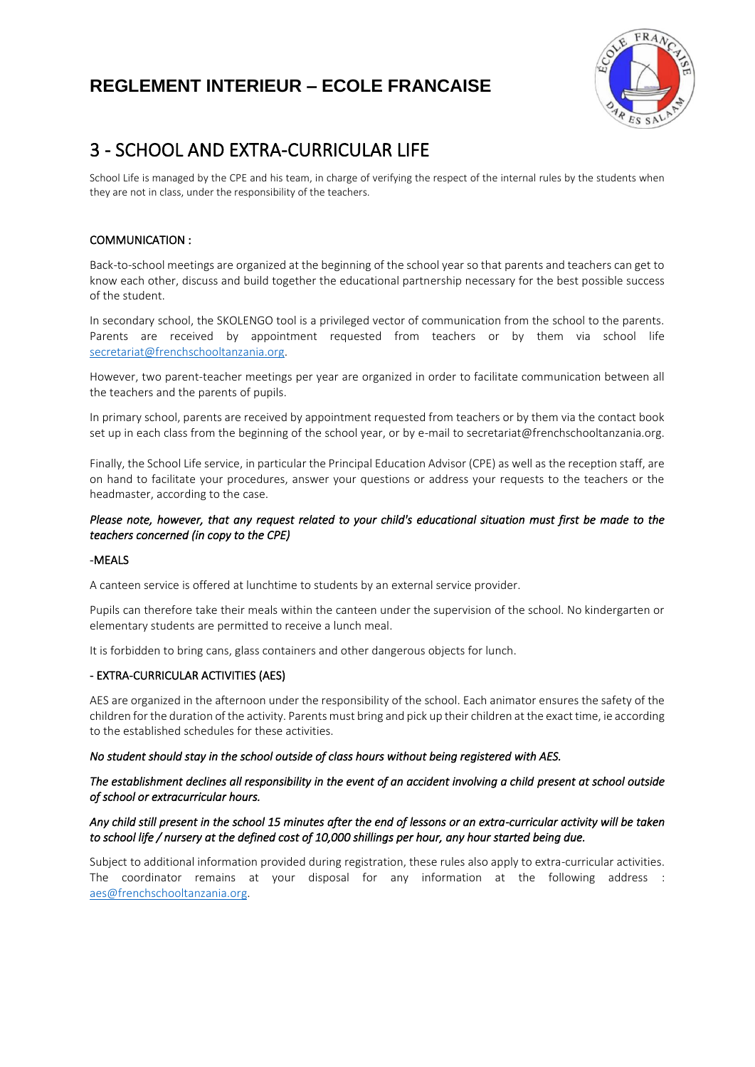

# 3 - SCHOOL AND EXTRA-CURRICULAR LIFE

School Life is managed by the CPE and his team, in charge of verifying the respect of the internal rules by the students when they are not in class, under the responsibility of the teachers.

# COMMUNICATION :

Back-to-school meetings are organized at the beginning of the school year so that parents and teachers can get to know each other, discuss and build together the educational partnership necessary for the best possible success of the student.

In secondary school, the SKOLENGO tool is a privileged vector of communication from the school to the parents. Parents are received by appointment requested from teachers or by them via school life [secretariat@frenchschooltanzania.org.](mailto:secretariat@frenchschooltanzania.org)

However, two parent-teacher meetings per year are organized in order to facilitate communication between all the teachers and the parents of pupils.

In primary school, parents are received by appointment requested from teachers or by them via the contact book set up in each class from the beginning of the school year, or by e-mail to secretariat@frenchschooltanzania.org.

Finally, the School Life service, in particular the Principal Education Advisor (CPE) as well as the reception staff, are on hand to facilitate your procedures, answer your questions or address your requests to the teachers or the headmaster, according to the case.

# *Please note, however, that any request related to your child's educational situation must first be made to the teachers concerned (in copy to the CPE)*

### -MEALS

A canteen service is offered at lunchtime to students by an external service provider.

Pupils can therefore take their meals within the canteen under the supervision of the school. No kindergarten or elementary students are permitted to receive a lunch meal.

It is forbidden to bring cans, glass containers and other dangerous objects for lunch.

# - EXTRA-CURRICULAR ACTIVITIES (AES)

AES are organized in the afternoon under the responsibility of the school. Each animator ensures the safety of the children for the duration of the activity. Parents must bring and pick up their children at the exact time, ie according to the established schedules for these activities.

### *No student should stay in the school outside of class hours without being registered with AES.*

## *The establishment declines all responsibility in the event of an accident involving a child present at school outside of school or extracurricular hours.*

## *Any child still present in the school 15 minutes after the end of lessons or an extra-curricular activity will be taken to school life / nursery at the defined cost of 10,000 shillings per hour, any hour started being due.*

Subject to additional information provided during registration, these rules also apply to extra-curricular activities. The coordinator remains at your disposal for any information at the following address : [aes@frenchschooltanzania.org.](mailto:aes@frenchschooltanzania.org)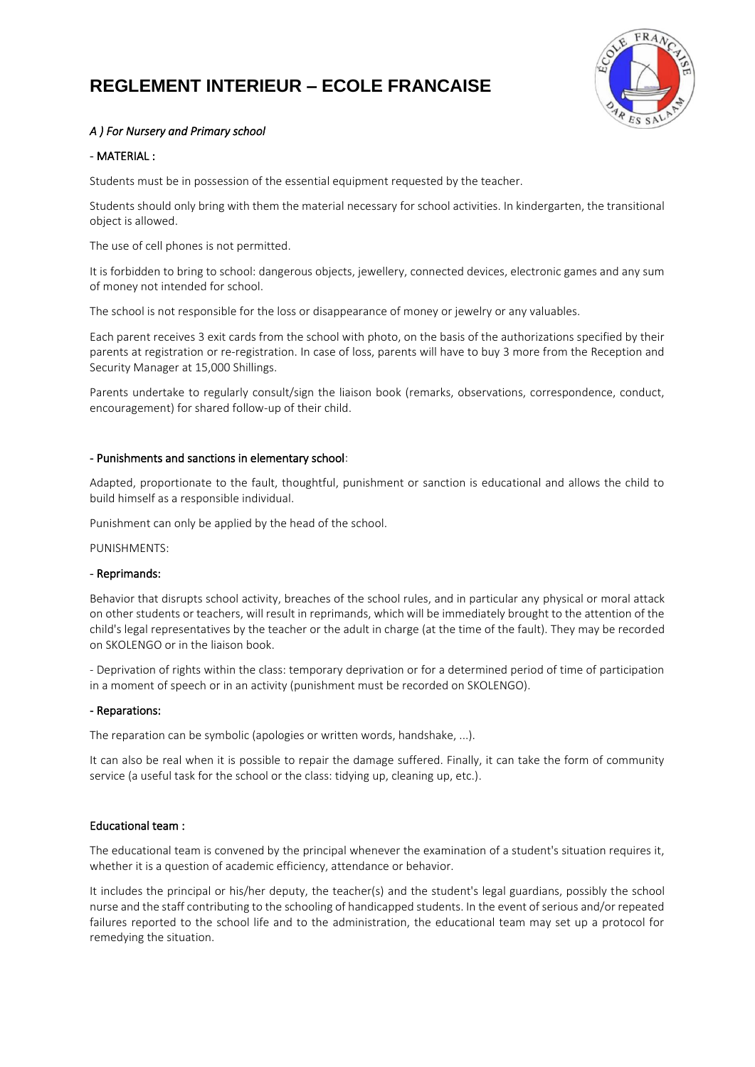

# *A ) For Nursery and Primary school*

# - MATERIAL :

Students must be in possession of the essential equipment requested by the teacher.

Students should only bring with them the material necessary for school activities. In kindergarten, the transitional object is allowed.

The use of cell phones is not permitted.

It is forbidden to bring to school: dangerous objects, jewellery, connected devices, electronic games and any sum of money not intended for school.

The school is not responsible for the loss or disappearance of money or jewelry or any valuables.

Each parent receives 3 exit cards from the school with photo, on the basis of the authorizations specified by their parents at registration or re-registration. In case of loss, parents will have to buy 3 more from the Reception and Security Manager at 15,000 Shillings.

Parents undertake to regularly consult/sign the liaison book (remarks, observations, correspondence, conduct, encouragement) for shared follow-up of their child.

### - Punishments and sanctions in elementary school:

Adapted, proportionate to the fault, thoughtful, punishment or sanction is educational and allows the child to build himself as a responsible individual.

Punishment can only be applied by the head of the school.

PUNISHMENTS:

### - Reprimands:

Behavior that disrupts school activity, breaches of the school rules, and in particular any physical or moral attack on other students or teachers, will result in reprimands, which will be immediately brought to the attention of the child's legal representatives by the teacher or the adult in charge (at the time of the fault). They may be recorded on SKOLENGO or in the liaison book.

- Deprivation of rights within the class: temporary deprivation or for a determined period of time of participation in a moment of speech or in an activity (punishment must be recorded on SKOLENGO).

#### - Reparations:

The reparation can be symbolic (apologies or written words, handshake, ...).

It can also be real when it is possible to repair the damage suffered. Finally, it can take the form of community service (a useful task for the school or the class: tidying up, cleaning up, etc.).

## Educational team :

The educational team is convened by the principal whenever the examination of a student's situation requires it, whether it is a question of academic efficiency, attendance or behavior.

It includes the principal or his/her deputy, the teacher(s) and the student's legal guardians, possibly the school nurse and the staff contributing to the schooling of handicapped students. In the event of serious and/or repeated failures reported to the school life and to the administration, the educational team may set up a protocol for remedying the situation.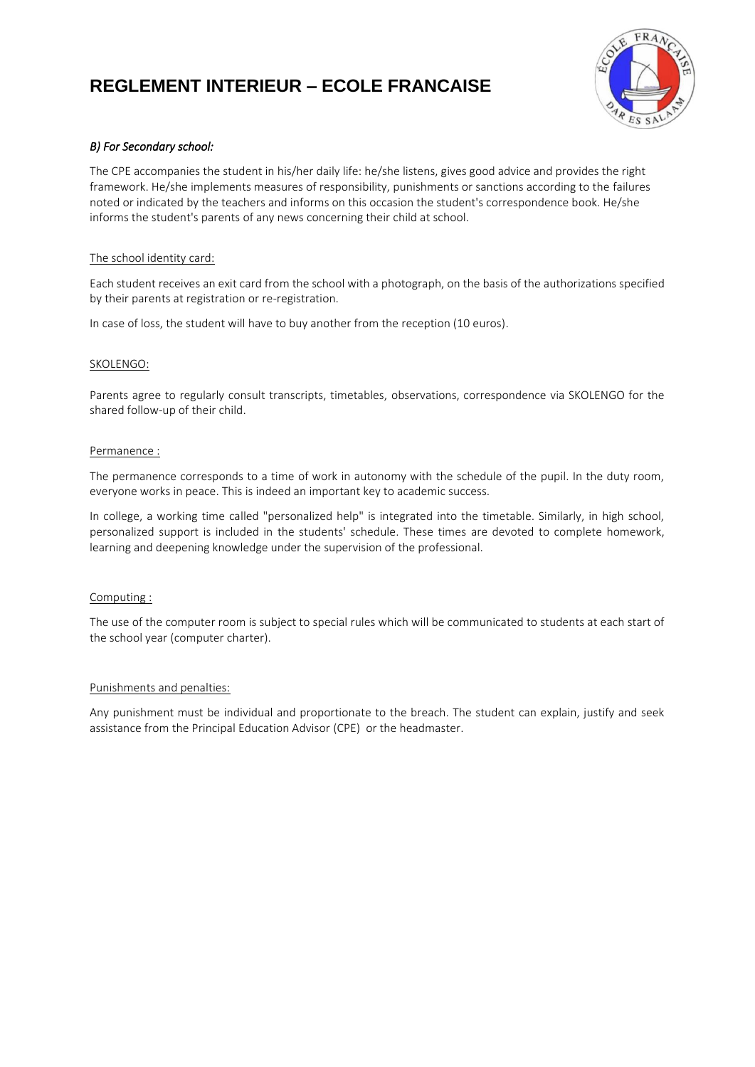

# *B) For Secondary school:*

The CPE accompanies the student in his/her daily life: he/she listens, gives good advice and provides the right framework. He/she implements measures of responsibility, punishments or sanctions according to the failures noted or indicated by the teachers and informs on this occasion the student's correspondence book. He/she informs the student's parents of any news concerning their child at school.

## The school identity card:

Each student receives an exit card from the school with a photograph, on the basis of the authorizations specified by their parents at registration or re-registration.

In case of loss, the student will have to buy another from the reception (10 euros).

### SKOLENGO:

Parents agree to regularly consult transcripts, timetables, observations, correspondence via SKOLENGO for the shared follow-up of their child.

#### Permanence :

The permanence corresponds to a time of work in autonomy with the schedule of the pupil. In the duty room, everyone works in peace. This is indeed an important key to academic success.

In college, a working time called "personalized help" is integrated into the timetable. Similarly, in high school, personalized support is included in the students' schedule. These times are devoted to complete homework, learning and deepening knowledge under the supervision of the professional.

### Computing :

The use of the computer room is subject to special rules which will be communicated to students at each start of the school year (computer charter).

### Punishments and penalties:

Any punishment must be individual and proportionate to the breach. The student can explain, justify and seek assistance from the Principal Education Advisor (CPE) or the headmaster.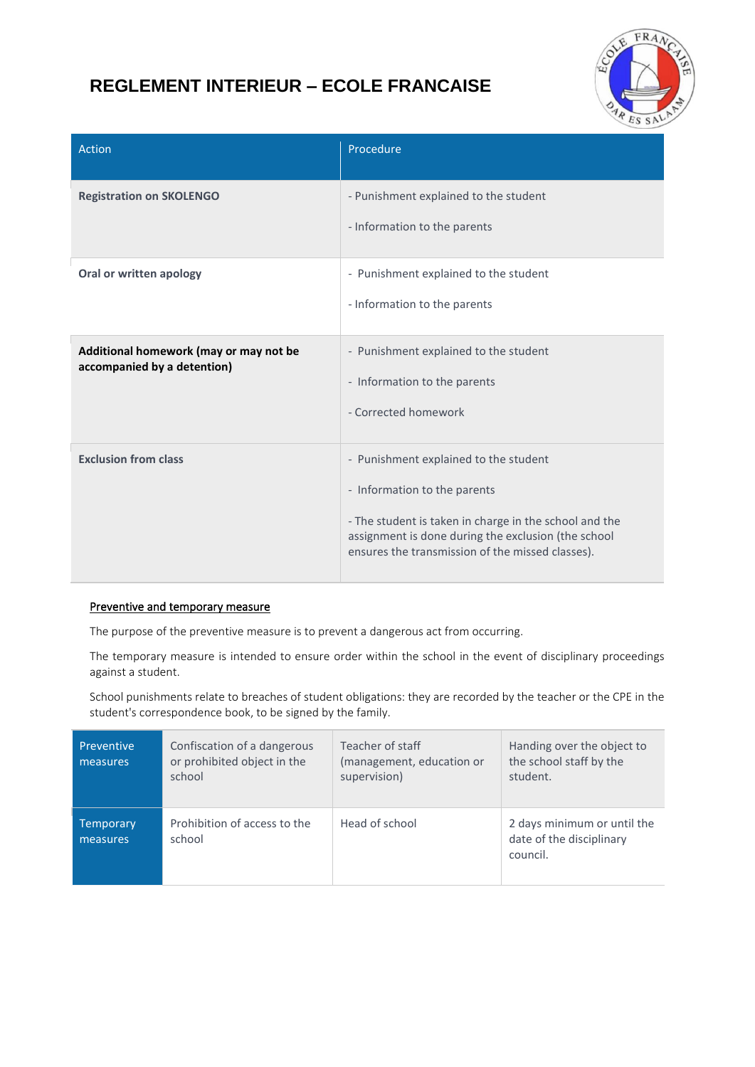

| Action                                                                | Procedure                                                                                                                                                                                                                                  |
|-----------------------------------------------------------------------|--------------------------------------------------------------------------------------------------------------------------------------------------------------------------------------------------------------------------------------------|
| <b>Registration on SKOLENGO</b>                                       | - Punishment explained to the student<br>- Information to the parents                                                                                                                                                                      |
| Oral or written apology                                               | - Punishment explained to the student<br>- Information to the parents                                                                                                                                                                      |
| Additional homework (may or may not be<br>accompanied by a detention) | - Punishment explained to the student<br>- Information to the parents<br>- Corrected homework                                                                                                                                              |
| <b>Exclusion from class</b>                                           | - Punishment explained to the student<br>- Information to the parents<br>- The student is taken in charge in the school and the<br>assignment is done during the exclusion (the school<br>ensures the transmission of the missed classes). |

# Preventive and temporary measure

The purpose of the preventive measure is to prevent a dangerous act from occurring.

The temporary measure is intended to ensure order within the school in the event of disciplinary proceedings against a student.

School punishments relate to breaches of student obligations: they are recorded by the teacher or the CPE in the student's correspondence book, to be signed by the family.

| Preventive<br>measures | Confiscation of a dangerous<br>or prohibited object in the<br>school | Teacher of staff<br>(management, education or<br>supervision) | Handing over the object to<br>the school staff by the<br>student.   |
|------------------------|----------------------------------------------------------------------|---------------------------------------------------------------|---------------------------------------------------------------------|
| Temporary<br>measures  | Prohibition of access to the<br>school                               | Head of school                                                | 2 days minimum or until the<br>date of the disciplinary<br>council. |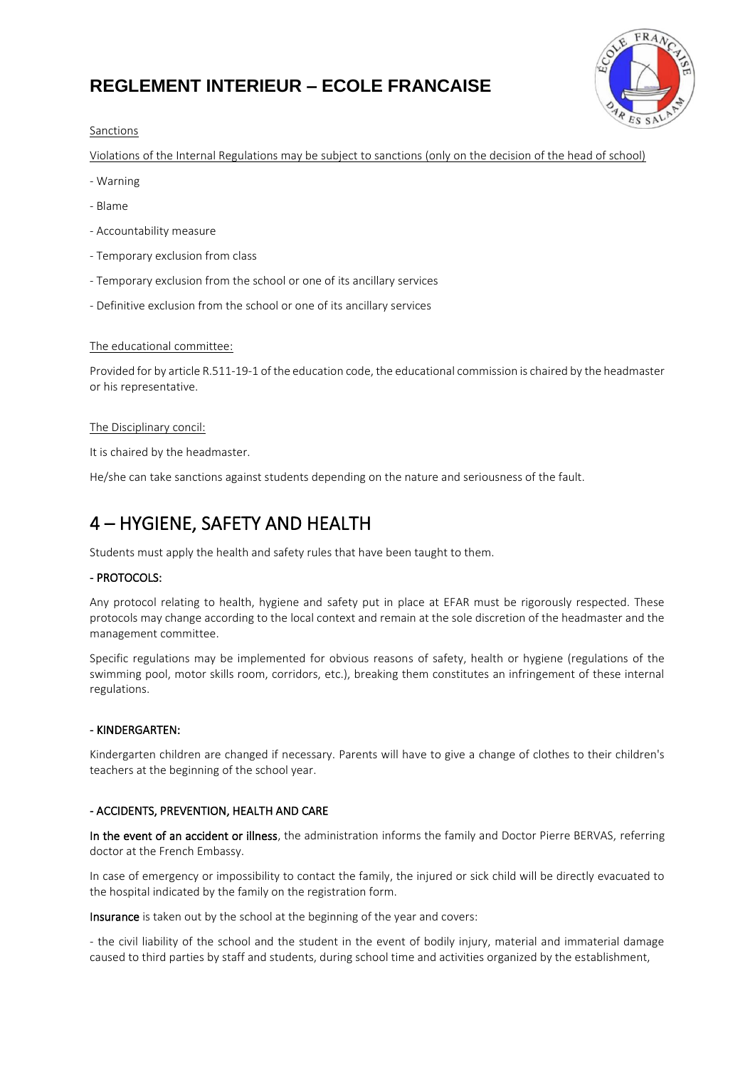

## **Sanctions**

Violations of the Internal Regulations may be subject to sanctions (only on the decision of the head of school)

- Warning
- Blame
- Accountability measure
- Temporary exclusion from class
- Temporary exclusion from the school or one of its ancillary services
- Definitive exclusion from the school or one of its ancillary services

### The educational committee:

Provided for by article R.511-19-1 of the education code, the educational commission is chaired by the headmaster or his representative.

### The Disciplinary concil:

It is chaired by the headmaster.

He/she can take sanctions against students depending on the nature and seriousness of the fault.

# 4 – HYGIENE, SAFETY AND HEALTH

Students must apply the health and safety rules that have been taught to them.

## - PROTOCOLS:

Any protocol relating to health, hygiene and safety put in place at EFAR must be rigorously respected. These protocols may change according to the local context and remain at the sole discretion of the headmaster and the management committee.

Specific regulations may be implemented for obvious reasons of safety, health or hygiene (regulations of the swimming pool, motor skills room, corridors, etc.), breaking them constitutes an infringement of these internal regulations.

### - KINDERGARTEN:

Kindergarten children are changed if necessary. Parents will have to give a change of clothes to their children's teachers at the beginning of the school year.

# - ACCIDENTS, PREVENTION, HEALTH AND CARE

In the event of an accident or illness, the administration informs the family and Doctor Pierre BERVAS, referring doctor at the French Embassy.

In case of emergency or impossibility to contact the family, the injured or sick child will be directly evacuated to the hospital indicated by the family on the registration form.

Insurance is taken out by the school at the beginning of the year and covers:

- the civil liability of the school and the student in the event of bodily injury, material and immaterial damage caused to third parties by staff and students, during school time and activities organized by the establishment,